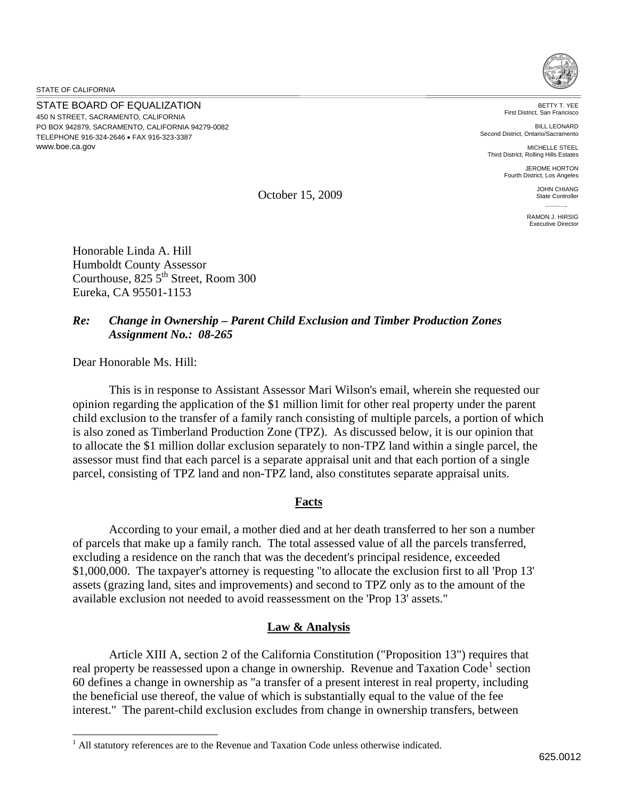STATE OF CALIFORNIA

 $\overline{\phantom{a}}$ 

STATE BOARD OF EQUALIZATION 450 N STREET, SACRAMENTO, CALIFORNIA PO BOX 942879, SACRAMENTO, CALIFORNIA 94279-0082 TELEPHONE 916-324-2646 FAX 916-323-3387 www.boe.ca.gov



BETTY T. YEE First District, San Francisco

BILL LEONARD Second District, Ontario/Sacramento

MICHELLE STEEL Third District, Rolling Hills Estates

> JEROME HORTON Fourth District, Los Angeles

October 15, 2009

JOHN CHIANG State Controller RAMON J. HIRSIG Executive Director

Honorable Linda A. Hill Humboldt County Assessor Courthouse,  $825\,5^{th}$  Street, Room 300 Eureka, CA 95501-1153

## *Re: Change in Ownership – Parent Child Exclusion and Timber Production Zones Assignment No.: 08-265*

Dear Honorable Ms. Hill:

This is in response to Assistant Assessor Mari Wilson's email, wherein she requested our opinion regarding the application of the \$1 million limit for other real property under the parent child exclusion to the transfer of a family ranch consisting of multiple parcels, a portion of which is also zoned as Timberland Production Zone (TPZ). As discussed below, it is our opinion that to allocate the \$1 million dollar exclusion separately to non-TPZ land within a single parcel, the assessor must find that each parcel is a separate appraisal unit and that each portion of a single parcel, consisting of TPZ land and non-TPZ land, also constitutes separate appraisal units.

## **Facts**

 According to your email, a mother died and at her death transferred to her son a number of parcels that make up a family ranch. The total assessed value of all the parcels transferred, excluding a residence on the ranch that was the decedent's principal residence, exceeded \$1,000,000. The taxpayer's attorney is requesting "to allocate the exclusion first to all 'Prop 13' assets (grazing land, sites and improvements) and second to TPZ only as to the amount of the available exclusion not needed to avoid reassessment on the 'Prop 13' assets."

## **Law & Analysis**

 Article XIII A, section 2 of the California Constitution ("Proposition 13") requires that real property be reassessed upon a change in ownership. Revenue and Taxation  $Code<sup>1</sup>$  $Code<sup>1</sup>$  $Code<sup>1</sup>$  section 60 defines a change in ownership as "a transfer of a present interest in real property, including the beneficial use thereof, the value of which is substantially equal to the value of the fee interest." The parent-child exclusion excludes from change in ownership transfers, between

<sup>&</sup>lt;sup>1</sup> All statutory references are to the Revenue and Taxation Code unless otherwise indicated.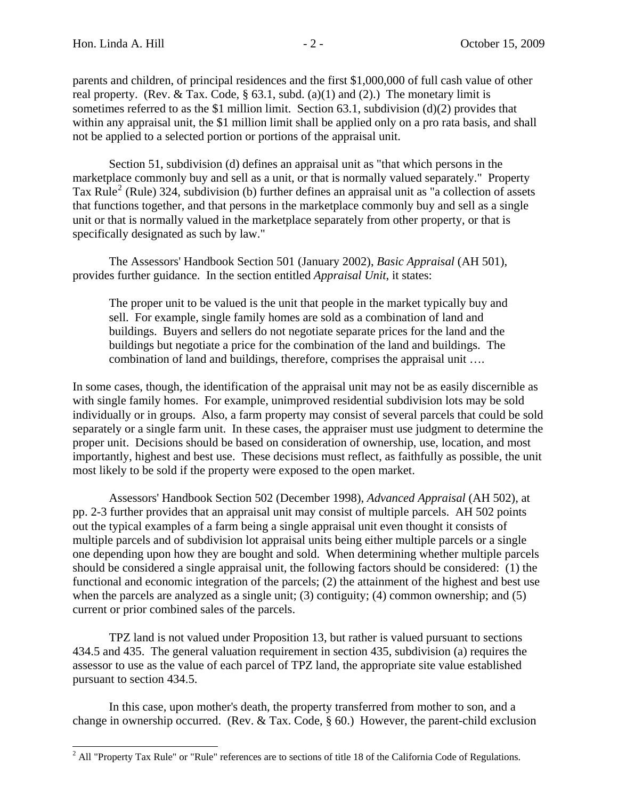<span id="page-1-0"></span> $\overline{\phantom{a}}$ 

parents and children, of principal residences and the first \$1,000,000 of full cash value of other real property. (Rev. & Tax. Code, § 63.1, subd. (a)(1) and (2).) The monetary limit is sometimes referred to as the \$1 million limit. Section 63.1, subdivision (d)(2) provides that within any appraisal unit, the \$1 million limit shall be applied only on a pro rata basis, and shall not be applied to a selected portion or portions of the appraisal unit.

 Section 51, subdivision (d) defines an appraisal unit as "that which persons in the marketplace commonly buy and sell as a unit, or that is normally valued separately." Property Tax Rule<sup>[2](#page-2-0)</sup> (Rule) 324, subdivision (b) further defines an appraisal unit as "a collection of assets that functions together, and that persons in the marketplace commonly buy and sell as a single unit or that is normally valued in the marketplace separately from other property, or that is specifically designated as such by law."

 The Assessors' Handbook Section 501 (January 2002), *Basic Appraisal* (AH 501), provides further guidance. In the section entitled *Appraisal Unit*, it states:

The proper unit to be valued is the unit that people in the market typically buy and sell. For example, single family homes are sold as a combination of land and buildings. Buyers and sellers do not negotiate separate prices for the land and the buildings but negotiate a price for the combination of the land and buildings. The combination of land and buildings, therefore, comprises the appraisal unit ….

In some cases, though, the identification of the appraisal unit may not be as easily discernible as with single family homes. For example, unimproved residential subdivision lots may be sold individually or in groups. Also, a farm property may consist of several parcels that could be sold separately or a single farm unit. In these cases, the appraiser must use judgment to determine the proper unit. Decisions should be based on consideration of ownership, use, location, and most importantly, highest and best use. These decisions must reflect, as faithfully as possible, the unit most likely to be sold if the property were exposed to the open market.

Assessors' Handbook Section 502 (December 1998), *Advanced Appraisal* (AH 502), at pp. 2-3 further provides that an appraisal unit may consist of multiple parcels. AH 502 points out the typical examples of a farm being a single appraisal unit even thought it consists of multiple parcels and of subdivision lot appraisal units being either multiple parcels or a single one depending upon how they are bought and sold. When determining whether multiple parcels should be considered a single appraisal unit, the following factors should be considered: (1) the functional and economic integration of the parcels; (2) the attainment of the highest and best use when the parcels are analyzed as a single unit; (3) contiguity; (4) common ownership; and (5) current or prior combined sales of the parcels.

 TPZ land is not valued under Proposition 13, but rather is valued pursuant to sections 434.5 and 435. The general valuation requirement in section 435, subdivision (a) requires the assessor to use as the value of each parcel of TPZ land, the appropriate site value established pursuant to section 434.5.

 In this case, upon mother's death, the property transferred from mother to son, and a change in ownership occurred. (Rev. & Tax. Code, § 60.) However, the parent-child exclusion

 $^2$  All "Property Tax Rule" or "Rule" references are to sections of title 18 of the California Code of Regulations.